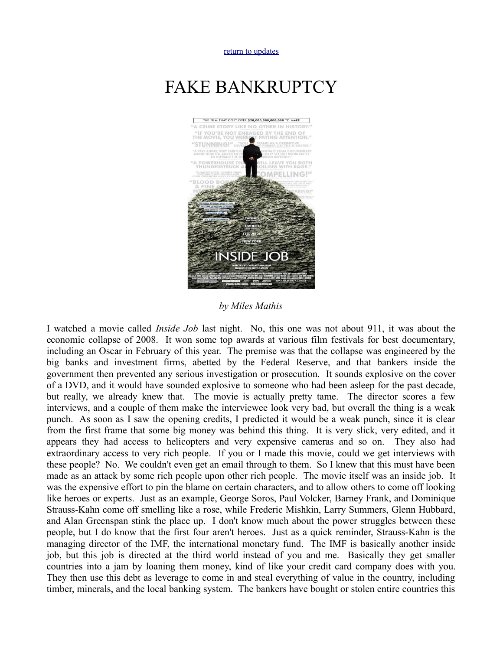[return to updates](http://mileswmathis.com/updates.html)

## FAKE BANKRUPTCY



*by Miles Mathis*

I watched a movie called *Inside Job* last night. No, this one was not about 911, it was about the economic collapse of 2008. It won some top awards at various film festivals for best documentary, including an Oscar in February of this year. The premise was that the collapse was engineered by the big banks and investment firms, abetted by the Federal Reserve, and that bankers inside the government then prevented any serious investigation or prosecution. It sounds explosive on the cover of a DVD, and it would have sounded explosive to someone who had been asleep for the past decade, but really, we already knew that. The movie is actually pretty tame. The director scores a few interviews, and a couple of them make the interviewee look very bad, but overall the thing is a weak punch. As soon as I saw the opening credits, I predicted it would be a weak punch, since it is clear from the first frame that some big money was behind this thing. It is very slick, very edited, and it appears they had access to helicopters and very expensive cameras and so on. They also had extraordinary access to very rich people. If you or I made this movie, could we get interviews with these people? No. We couldn't even get an email through to them. So I knew that this must have been made as an attack by some rich people upon other rich people. The movie itself was an inside job. It was the expensive effort to pin the blame on certain characters, and to allow others to come off looking like heroes or experts. Just as an example, George Soros, Paul Volcker, Barney Frank, and Dominique Strauss-Kahn come off smelling like a rose, while Frederic Mishkin, Larry Summers, Glenn Hubbard, and Alan Greenspan stink the place up. I don't know much about the power struggles between these people, but I do know that the first four aren't heroes. Just as a quick reminder, Strauss-Kahn is the managing director of the IMF, the international monetary fund. The IMF is basically another inside job, but this job is directed at the third world instead of you and me. Basically they get smaller countries into a jam by loaning them money, kind of like your credit card company does with you. They then use this debt as leverage to come in and steal everything of value in the country, including timber, minerals, and the local banking system. The bankers have bought or stolen entire countries this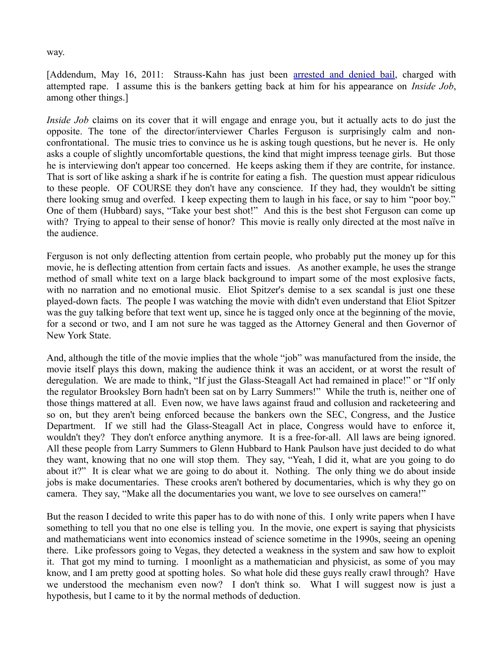[Addendum, May 16, 2011: Strauss-Kahn has just been [arrested and denied bail,](http://www.bbc.co.uk/news/world-us-canada-13417712) charged with attempted rape. I assume this is the bankers getting back at him for his appearance on *Inside Job*, among other things.]

*Inside Job* claims on its cover that it will engage and enrage you, but it actually acts to do just the opposite. The tone of the director/interviewer Charles Ferguson is surprisingly calm and nonconfrontational. The music tries to convince us he is asking tough questions, but he never is. He only asks a couple of slightly uncomfortable questions, the kind that might impress teenage girls. But those he is interviewing don't appear too concerned. He keeps asking them if they are contrite, for instance. That is sort of like asking a shark if he is contrite for eating a fish. The question must appear ridiculous to these people. OF COURSE they don't have any conscience. If they had, they wouldn't be sitting there looking smug and overfed. I keep expecting them to laugh in his face, or say to him "poor boy." One of them (Hubbard) says, "Take your best shot!" And this is the best shot Ferguson can come up with? Trying to appeal to their sense of honor? This movie is really only directed at the most naïve in the audience.

Ferguson is not only deflecting attention from certain people, who probably put the money up for this movie, he is deflecting attention from certain facts and issues. As another example, he uses the strange method of small white text on a large black background to impart some of the most explosive facts, with no narration and no emotional music. Eliot Spitzer's demise to a sex scandal is just one these played-down facts. The people I was watching the movie with didn't even understand that Eliot Spitzer was the guy talking before that text went up, since he is tagged only once at the beginning of the movie, for a second or two, and I am not sure he was tagged as the Attorney General and then Governor of New York State.

And, although the title of the movie implies that the whole "job" was manufactured from the inside, the movie itself plays this down, making the audience think it was an accident, or at worst the result of deregulation. We are made to think, "If just the Glass-Steagall Act had remained in place!" or "If only the regulator Brooksley Born hadn't been sat on by Larry Summers!" While the truth is, neither one of those things mattered at all. Even now, we have laws against fraud and collusion and racketeering and so on, but they aren't being enforced because the bankers own the SEC, Congress, and the Justice Department. If we still had the Glass-Steagall Act in place, Congress would have to enforce it, wouldn't they? They don't enforce anything anymore. It is a free-for-all. All laws are being ignored. All these people from Larry Summers to Glenn Hubbard to Hank Paulson have just decided to do what they want, knowing that no one will stop them. They say, "Yeah, I did it, what are you going to do about it?" It is clear what we are going to do about it. Nothing. The only thing we do about inside jobs is make documentaries. These crooks aren't bothered by documentaries, which is why they go on camera. They say, "Make all the documentaries you want, we love to see ourselves on camera!"

But the reason I decided to write this paper has to do with none of this. I only write papers when I have something to tell you that no one else is telling you. In the movie, one expert is saying that physicists and mathematicians went into economics instead of science sometime in the 1990s, seeing an opening there. Like professors going to Vegas, they detected a weakness in the system and saw how to exploit it. That got my mind to turning. I moonlight as a mathematician and physicist, as some of you may know, and I am pretty good at spotting holes. So what hole did these guys really crawl through? Have we understood the mechanism even now? I don't think so. What I will suggest now is just a hypothesis, but I came to it by the normal methods of deduction.

## way.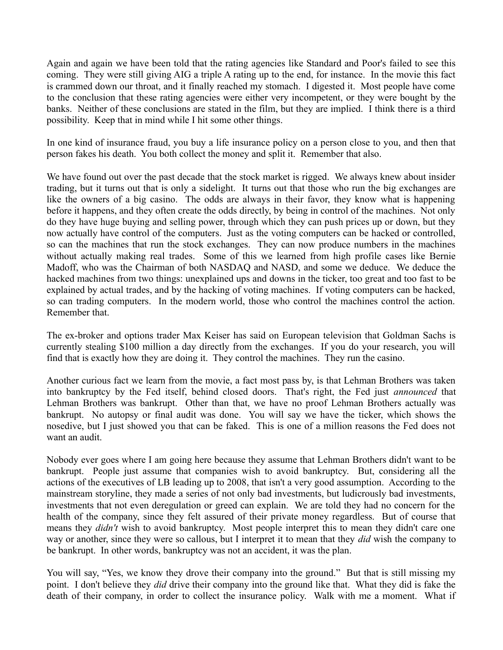Again and again we have been told that the rating agencies like Standard and Poor's failed to see this coming. They were still giving AIG a triple A rating up to the end, for instance. In the movie this fact is crammed down our throat, and it finally reached my stomach. I digested it. Most people have come to the conclusion that these rating agencies were either very incompetent, or they were bought by the banks. Neither of these conclusions are stated in the film, but they are implied. I think there is a third possibility. Keep that in mind while I hit some other things.

In one kind of insurance fraud, you buy a life insurance policy on a person close to you, and then that person fakes his death. You both collect the money and split it. Remember that also.

We have found out over the past decade that the stock market is rigged. We always knew about insider trading, but it turns out that is only a sidelight. It turns out that those who run the big exchanges are like the owners of a big casino. The odds are always in their favor, they know what is happening before it happens, and they often create the odds directly, by being in control of the machines. Not only do they have huge buying and selling power, through which they can push prices up or down, but they now actually have control of the computers. Just as the voting computers can be hacked or controlled, so can the machines that run the stock exchanges. They can now produce numbers in the machines without actually making real trades. Some of this we learned from high profile cases like Bernie Madoff, who was the Chairman of both NASDAQ and NASD, and some we deduce. We deduce the hacked machines from two things: unexplained ups and downs in the ticker, too great and too fast to be explained by actual trades, and by the hacking of voting machines. If voting computers can be hacked, so can trading computers. In the modern world, those who control the machines control the action. Remember that.

The ex-broker and options trader Max Keiser has said on European television that Goldman Sachs is currently stealing \$100 million a day directly from the exchanges. If you do your research, you will find that is exactly how they are doing it. They control the machines. They run the casino.

Another curious fact we learn from the movie, a fact most pass by, is that Lehman Brothers was taken into bankruptcy by the Fed itself, behind closed doors. That's right, the Fed just *announced* that Lehman Brothers was bankrupt. Other than that, we have no proof Lehman Brothers actually was bankrupt. No autopsy or final audit was done. You will say we have the ticker, which shows the nosedive, but I just showed you that can be faked. This is one of a million reasons the Fed does not want an audit.

Nobody ever goes where I am going here because they assume that Lehman Brothers didn't want to be bankrupt. People just assume that companies wish to avoid bankruptcy. But, considering all the actions of the executives of LB leading up to 2008, that isn't a very good assumption. According to the mainstream storyline, they made a series of not only bad investments, but ludicrously bad investments, investments that not even deregulation or greed can explain. We are told they had no concern for the health of the company, since they felt assured of their private money regardless. But of course that means they *didn't* wish to avoid bankruptcy. Most people interpret this to mean they didn't care one way or another, since they were so callous, but I interpret it to mean that they *did* wish the company to be bankrupt. In other words, bankruptcy was not an accident, it was the plan.

You will say, "Yes, we know they drove their company into the ground." But that is still missing my point. I don't believe they *did* drive their company into the ground like that. What they did is fake the death of their company, in order to collect the insurance policy. Walk with me a moment. What if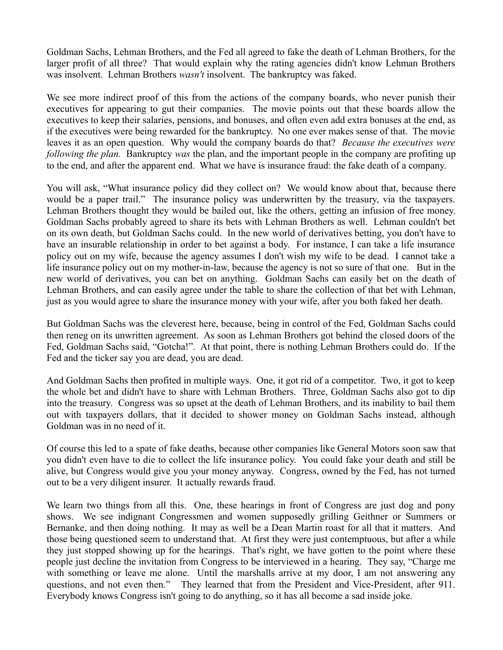Goldman Sachs, Lehman Brothers, and the Fed all agreed to fake the death of Lehman Brothers, for the larger profit of all three? That would explain why the rating agencies didn't know Lehman Brothers was insolvent. Lehman Brothers *wasn't* insolvent. The bankruptcy was faked.

We see more indirect proof of this from the actions of the company boards, who never punish their executives for appearing to gut their companies. The movie points out that these boards allow the executives to keep their salaries, pensions, and bonuses, and often even add extra bonuses at the end, as if the executives were being rewarded for the bankruptcy. No one ever makes sense of that. The movie leaves it as an open question. Why would the company boards do that? *Because the executives were following the plan.* Bankruptcy *was* the plan, and the important people in the company are profiting up to the end, and after the apparent end. What we have is insurance fraud: the fake death of a company.

You will ask, "What insurance policy did they collect on? We would know about that, because there would be a paper trail." The insurance policy was underwritten by the treasury, via the taxpayers. Lehman Brothers thought they would be bailed out, like the others, getting an infusion of free money. Goldman Sachs probably agreed to share its bets with Lehman Brothers as well. Lehman couldn't bet on its own death, but Goldman Sachs could. In the new world of derivatives betting, you don't have to have an insurable relationship in order to bet against a body. For instance, I can take a life insurance policy out on my wife, because the agency assumes I don't wish my wife to be dead. I cannot take a life insurance policy out on my mother-in-law, because the agency is not so sure of that one. But in the new world of derivatives, you can bet on anything. Goldman Sachs can easily bet on the death of Lehman Brothers, and can easily agree under the table to share the collection of that bet with Lehman, just as you would agree to share the insurance money with your wife, after you both faked her death.

But Goldman Sachs was the cleverest here, because, being in control of the Fed, Goldman Sachs could then reneg on its unwritten agreement. As soon as Lehman Brothers got behind the closed doors of the Fed, Goldman Sachs said, "Gotcha!". At that point, there is nothing Lehman Brothers could do. If the Fed and the ticker say you are dead, you are dead.

And Goldman Sachs then profited in multiple ways. One, it got rid of a competitor. Two, it got to keep the whole bet and didn't have to share with Lehman Brothers. Three, Goldman Sachs also got to dip into the treasury. Congress was so upset at the death of Lehman Brothers, and its inability to bail them out with taxpayers dollars, that it decided to shower money on Goldman Sachs instead, although Goldman was in no need of it.

Of course this led to a spate of fake deaths, because other companies like General Motors soon saw that you didn't even have to die to collect the life insurance policy. You could fake your death and still be alive, but Congress would give you your money anyway. Congress, owned by the Fed, has not turned out to be a very diligent insurer. It actually rewards fraud.

We learn two things from all this. One, these hearings in front of Congress are just dog and pony shows. We see indignant Congressmen and women supposedly grilling Geithner or Summers or Bernanke, and then doing nothing. It may as well be a Dean Martin roast for all that it matters. And those being questioned seem to understand that. At first they were just contemptuous, but after a while they just stopped showing up for the hearings. That's right, we have gotten to the point where these people just decline the invitation from Congress to be interviewed in a hearing. They say, "Charge me with something or leave me alone. Until the marshalls arrive at my door, I am not answering any questions, and not even then." They learned that from the President and Vice-President, after 911. Everybody knows Congress isn't going to do anything, so it has all become a sad inside joke.